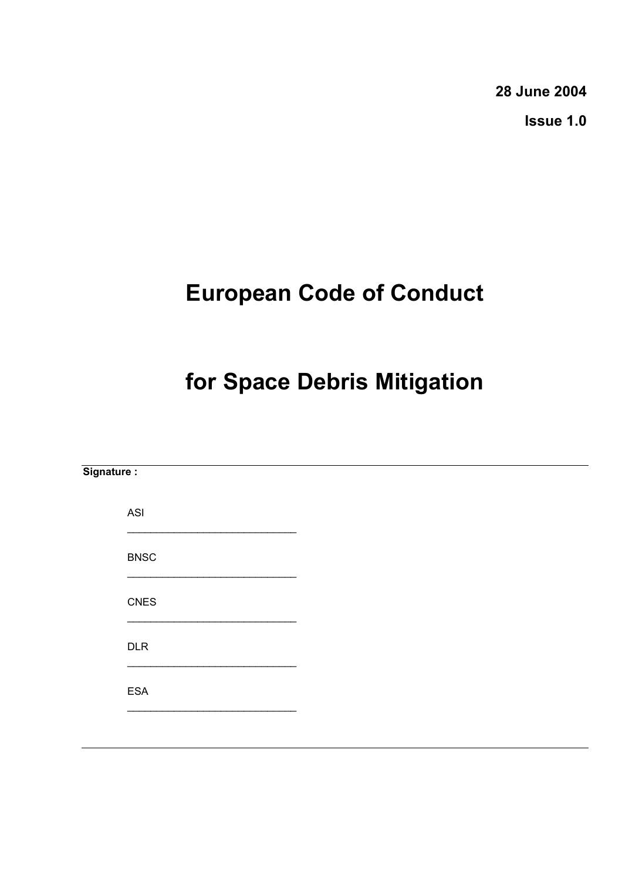**28 June 2004** 

**Issue 1.0** 

# **European Code of Conduct**

# **for Space Debris Mitigation**

| Signature:  |  |  |  |
|-------------|--|--|--|
| ASI         |  |  |  |
| <b>BNSC</b> |  |  |  |
| CNES        |  |  |  |
| DLR         |  |  |  |
| ESA         |  |  |  |
|             |  |  |  |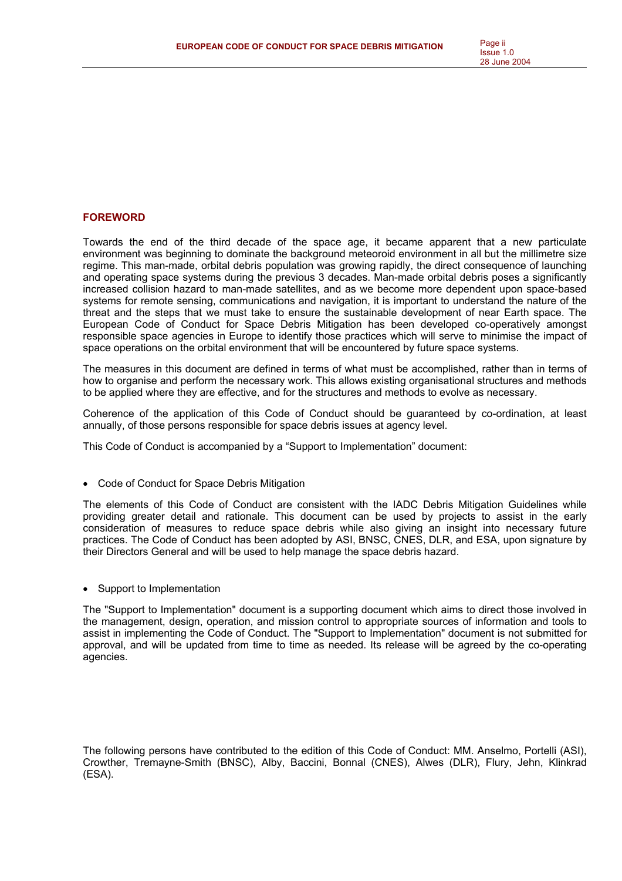## **FOREWORD**

Towards the end of the third decade of the space age, it became apparent that a new particulate environment was beginning to dominate the background meteoroid environment in all but the millimetre size regime. This man-made, orbital debris population was growing rapidly, the direct consequence of launching and operating space systems during the previous 3 decades. Man-made orbital debris poses a significantly increased collision hazard to man-made satellites, and as we become more dependent upon space-based systems for remote sensing, communications and navigation, it is important to understand the nature of the threat and the steps that we must take to ensure the sustainable development of near Earth space. The European Code of Conduct for Space Debris Mitigation has been developed co-operatively amongst responsible space agencies in Europe to identify those practices which will serve to minimise the impact of space operations on the orbital environment that will be encountered by future space systems.

The measures in this document are defined in terms of what must be accomplished, rather than in terms of how to organise and perform the necessary work. This allows existing organisational structures and methods to be applied where they are effective, and for the structures and methods to evolve as necessary.

Coherence of the application of this Code of Conduct should be guaranteed by co-ordination, at least annually, of those persons responsible for space debris issues at agency level.

This Code of Conduct is accompanied by a "Support to Implementation" document:

• Code of Conduct for Space Debris Mitigation

The elements of this Code of Conduct are consistent with the IADC Debris Mitigation Guidelines while providing greater detail and rationale. This document can be used by projects to assist in the early consideration of measures to reduce space debris while also giving an insight into necessary future practices. The Code of Conduct has been adopted by ASI, BNSC, CNES, DLR, and ESA, upon signature by their Directors General and will be used to help manage the space debris hazard.

• Support to Implementation

The "Support to Implementation" document is a supporting document which aims to direct those involved in the management, design, operation, and mission control to appropriate sources of information and tools to assist in implementing the Code of Conduct. The "Support to Implementation" document is not submitted for approval, and will be updated from time to time as needed. Its release will be agreed by the co-operating agencies.

The following persons have contributed to the edition of this Code of Conduct: MM. Anselmo, Portelli (ASI), Crowther, Tremayne-Smith (BNSC), Alby, Baccini, Bonnal (CNES), Alwes (DLR), Flury, Jehn, Klinkrad (ESA).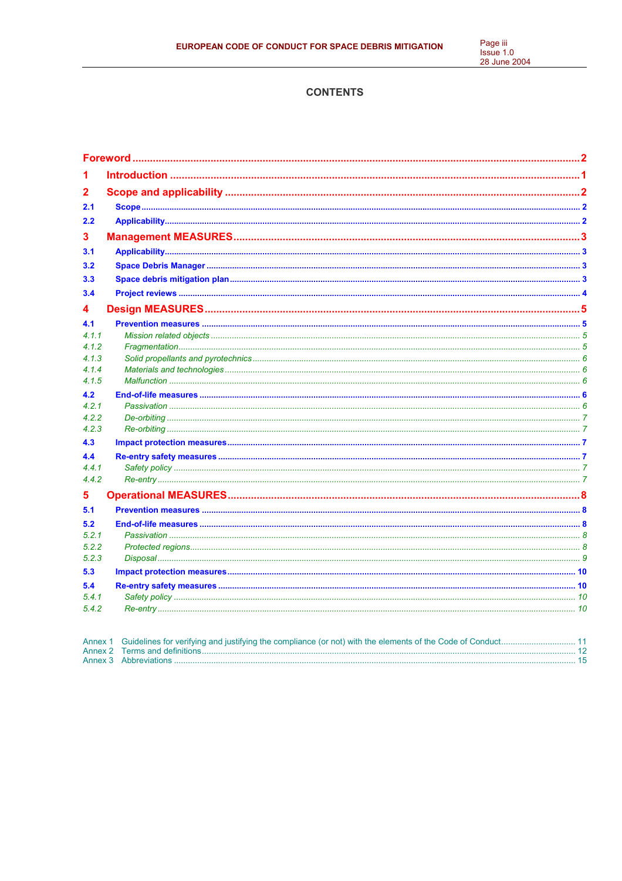Page iii<br>Issue 1.0<br>28 June 2004

# **CONTENTS**

| 1              |  |
|----------------|--|
| $\overline{2}$ |  |
| 2.1            |  |
| 2.2            |  |
| 3              |  |
| 3.1            |  |
| 3.2            |  |
| 3.3            |  |
|                |  |
| 3.4            |  |
| 4              |  |
| 4.1            |  |
| 4.1.1          |  |
| 4.1.2          |  |
| 4.1.3          |  |
| 4.1.4          |  |
| 4.1.5          |  |
| 4.2            |  |
| 4.2.1          |  |
| 4.2.2          |  |
| 4.2.3          |  |
| 4.3            |  |
| 4.4            |  |
| 4.4.1          |  |
| 4.4.2          |  |
| 5              |  |
| 5.1            |  |
| 5.2            |  |
| 5.2.1          |  |
| 5.2.2          |  |
| 5.2.3          |  |
| 5.3            |  |
| 5.4            |  |
| 5.4.1          |  |
| 5.4.2          |  |
|                |  |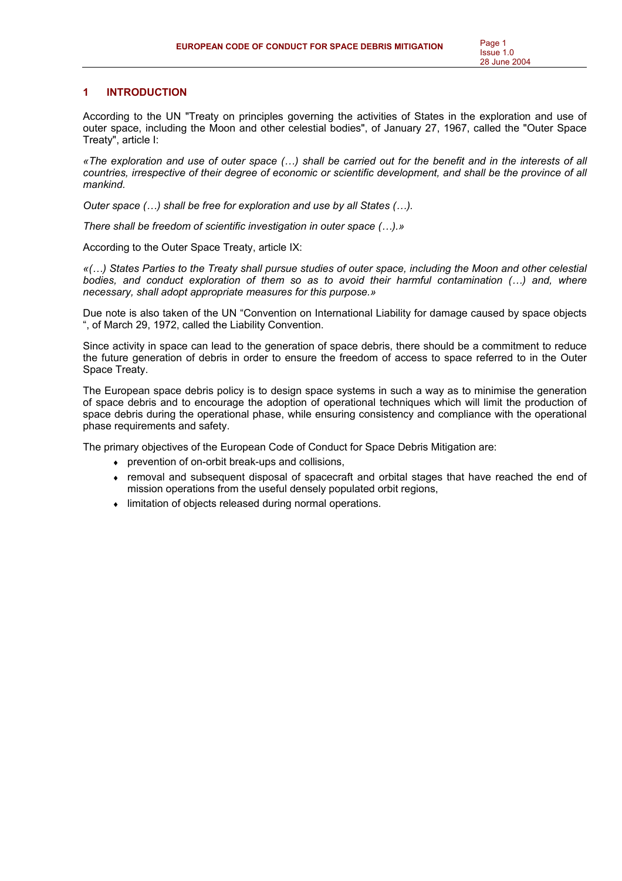## **1 INTRODUCTION**

According to the UN "Treaty on principles governing the activities of States in the exploration and use of outer space, including the Moon and other celestial bodies", of January 27, 1967, called the "Outer Space Treaty", article I:

*«The exploration and use of outer space (…) shall be carried out for the benefit and in the interests of all countries, irrespective of their degree of economic or scientific development, and shall be the province of all mankind.* 

*Outer space (…) shall be free for exploration and use by all States (…).* 

*There shall be freedom of scientific investigation in outer space (…).»* 

According to the Outer Space Treaty, article IX:

*«(…) States Parties to the Treaty shall pursue studies of outer space, including the Moon and other celestial*  bodies, and conduct exploration of them so as to avoid their harmful contamination (...) and, where *necessary, shall adopt appropriate measures for this purpose.»* 

Due note is also taken of the UN "Convention on International Liability for damage caused by space objects ", of March 29, 1972, called the Liability Convention.

Since activity in space can lead to the generation of space debris, there should be a commitment to reduce the future generation of debris in order to ensure the freedom of access to space referred to in the Outer Space Treaty.

The European space debris policy is to design space systems in such a way as to minimise the generation of space debris and to encourage the adoption of operational techniques which will limit the production of space debris during the operational phase, while ensuring consistency and compliance with the operational phase requirements and safety.

The primary objectives of the European Code of Conduct for Space Debris Mitigation are:

- ♦ prevention of on-orbit break-ups and collisions,
- removal and subsequent disposal of spacecraft and orbital stages that have reached the end of mission operations from the useful densely populated orbit regions,
- ♦ limitation of objects released during normal operations.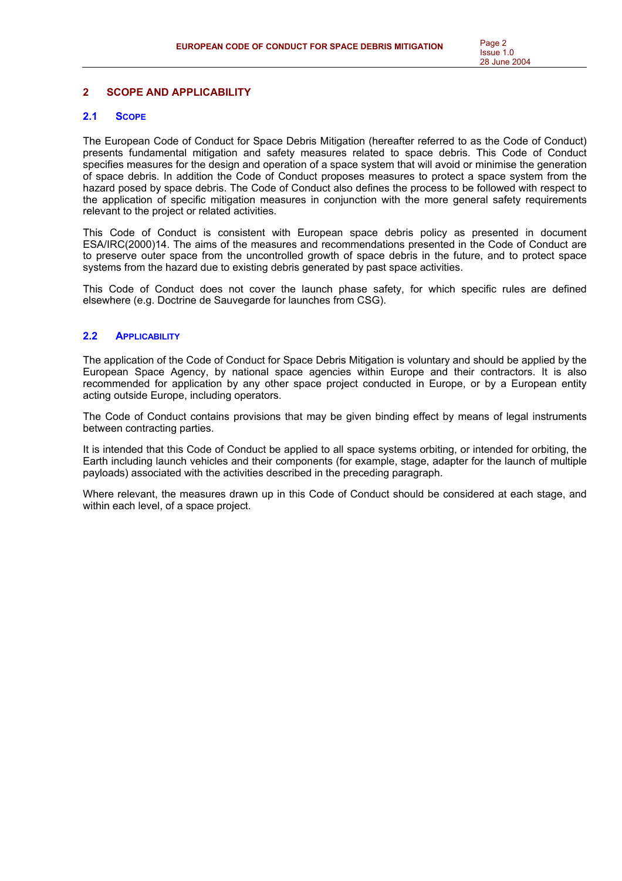## **2 SCOPE AND APPLICABILITY**

## **2.1 SCOPE**

The European Code of Conduct for Space Debris Mitigation (hereafter referred to as the Code of Conduct) presents fundamental mitigation and safety measures related to space debris. This Code of Conduct specifies measures for the design and operation of a space system that will avoid or minimise the generation of space debris. In addition the Code of Conduct proposes measures to protect a space system from the hazard posed by space debris. The Code of Conduct also defines the process to be followed with respect to the application of specific mitigation measures in conjunction with the more general safety requirements relevant to the project or related activities.

This Code of Conduct is consistent with European space debris policy as presented in document ESA/IRC(2000)14. The aims of the measures and recommendations presented in the Code of Conduct are to preserve outer space from the uncontrolled growth of space debris in the future, and to protect space systems from the hazard due to existing debris generated by past space activities.

This Code of Conduct does not cover the launch phase safety, for which specific rules are defined elsewhere (e.g. Doctrine de Sauvegarde for launches from CSG).

## **2.2 APPLICABILITY**

The application of the Code of Conduct for Space Debris Mitigation is voluntary and should be applied by the European Space Agency, by national space agencies within Europe and their contractors. It is also recommended for application by any other space project conducted in Europe, or by a European entity acting outside Europe, including operators.

The Code of Conduct contains provisions that may be given binding effect by means of legal instruments between contracting parties.

It is intended that this Code of Conduct be applied to all space systems orbiting, or intended for orbiting, the Earth including launch vehicles and their components (for example, stage, adapter for the launch of multiple payloads) associated with the activities described in the preceding paragraph.

Where relevant, the measures drawn up in this Code of Conduct should be considered at each stage, and within each level, of a space project.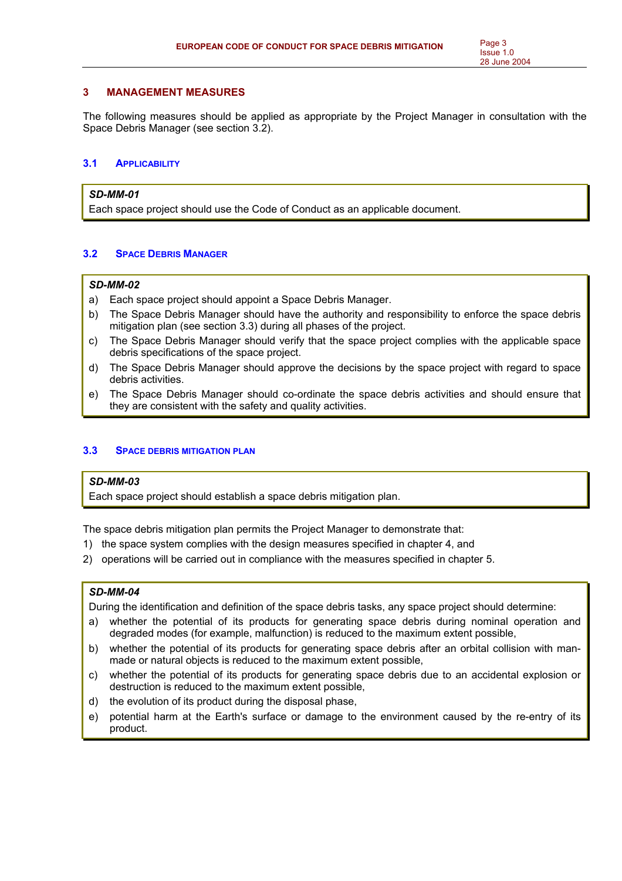## **3 MANAGEMENT MEASURES**

The following measures should be applied as appropriate by the Project Manager in consultation with the Space Debris Manager (see section 3.2).

## **3.1 APPLICABILITY**

## *SD-MM-01*

Each space project should use the Code of Conduct as an applicable document.

## **3.2 SPACE DEBRIS MANAGER**

## *SD-MM-02*

- a) Each space project should appoint a Space Debris Manager.
- b) The Space Debris Manager should have the authority and responsibility to enforce the space debris mitigation plan (see section 3.3) during all phases of the project.
- c) The Space Debris Manager should verify that the space project complies with the applicable space debris specifications of the space project.
- d) The Space Debris Manager should approve the decisions by the space project with regard to space debris activities.
- e) The Space Debris Manager should co-ordinate the space debris activities and should ensure that they are consistent with the safety and quality activities.

## **3.3 SPACE DEBRIS MITIGATION PLAN**

## *SD-MM-03*

Each space project should establish a space debris mitigation plan.

The space debris mitigation plan permits the Project Manager to demonstrate that:

- 1) the space system complies with the design measures specified in chapter 4, and
- 2) operations will be carried out in compliance with the measures specified in chapter 5.

## *SD-MM-04*

During the identification and definition of the space debris tasks, any space project should determine:

- a) whether the potential of its products for generating space debris during nominal operation and degraded modes (for example, malfunction) is reduced to the maximum extent possible,
- b) whether the potential of its products for generating space debris after an orbital collision with manmade or natural objects is reduced to the maximum extent possible,
- c) whether the potential of its products for generating space debris due to an accidental explosion or destruction is reduced to the maximum extent possible,
- d) the evolution of its product during the disposal phase,
- e) potential harm at the Earth's surface or damage to the environment caused by the re-entry of its product.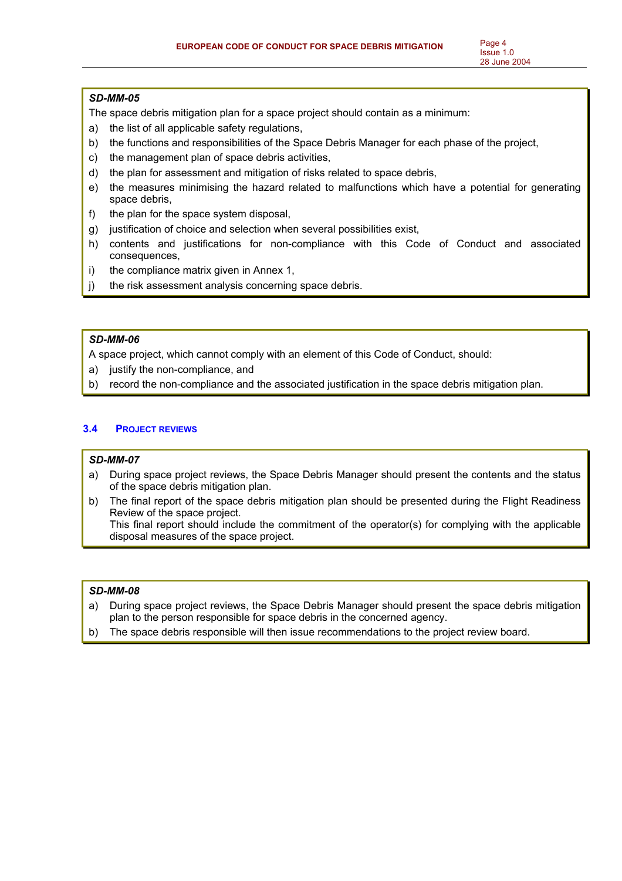## *SD-MM-05*

The space debris mitigation plan for a space project should contain as a minimum:

- a) the list of all applicable safety regulations,
- b) the functions and responsibilities of the Space Debris Manager for each phase of the project,
- c) the management plan of space debris activities,
- d) the plan for assessment and mitigation of risks related to space debris,
- e) the measures minimising the hazard related to malfunctions which have a potential for generating space debris,
- f) the plan for the space system disposal,
- g) justification of choice and selection when several possibilities exist,
- h) contents and justifications for non-compliance with this Code of Conduct and associated consequences,
- i) the compliance matrix given in Annex 1,
- j) the risk assessment analysis concerning space debris.

# *SD-MM-06*

A space project, which cannot comply with an element of this Code of Conduct, should:

- a) justify the non-compliance, and
- b) record the non-compliance and the associated justification in the space debris mitigation plan.

# **3.4 PROJECT REVIEWS**

## *SD-MM-07*

- a) During space project reviews, the Space Debris Manager should present the contents and the status of the space debris mitigation plan.
- b) The final report of the space debris mitigation plan should be presented during the Flight Readiness Review of the space project. This final report should include the commitment of the operator(s) for complying with the applicable disposal measures of the space project.

## *SD-MM-08*

- a) During space project reviews, the Space Debris Manager should present the space debris mitigation plan to the person responsible for space debris in the concerned agency.
- b) The space debris responsible will then issue recommendations to the project review board.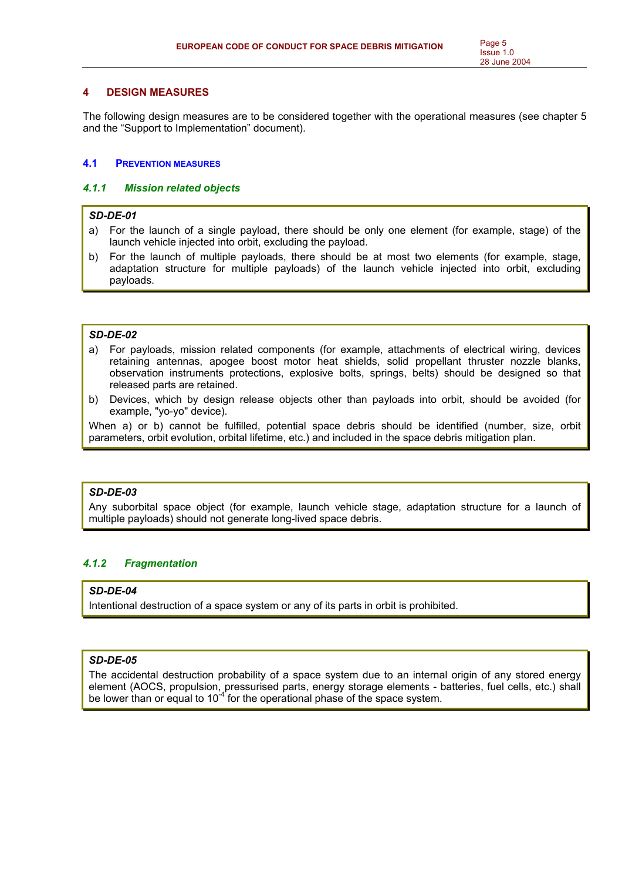## **4 DESIGN MEASURES**

The following design measures are to be considered together with the operational measures (see chapter 5 and the "Support to Implementation" document).

## **4.1 PREVENTION MEASURES**

## *4.1.1 Mission related objects*

## *SD-DE-01*

- a) For the launch of a single payload, there should be only one element (for example, stage) of the launch vehicle injected into orbit, excluding the payload.
- b) For the launch of multiple payloads, there should be at most two elements (for example, stage, adaptation structure for multiple payloads) of the launch vehicle injected into orbit, excluding payloads.

## *SD-DE-02*

- a) For payloads, mission related components (for example, attachments of electrical wiring, devices retaining antennas, apogee boost motor heat shields, solid propellant thruster nozzle blanks, observation instruments protections, explosive bolts, springs, belts) should be designed so that released parts are retained.
- b) Devices, which by design release objects other than payloads into orbit, should be avoided (for example, "yo-yo" device).

When a) or b) cannot be fulfilled, potential space debris should be identified (number, size, orbit parameters, orbit evolution, orbital lifetime, etc.) and included in the space debris mitigation plan.

## *SD-DE-03*

Any suborbital space object (for example, launch vehicle stage, adaptation structure for a launch of multiple payloads) should not generate long-lived space debris.

# *4.1.2 Fragmentation*

## *SD-DE-04*

Intentional destruction of a space system or any of its parts in orbit is prohibited.

# *SD-DE-05*

The accidental destruction probability of a space system due to an internal origin of any stored energy element (AOCS, propulsion, pressurised parts, energy storage elements - batteries, fuel cells, etc.) shall be lower than or equal to 10<sup>-4</sup> for the operational phase of the space system.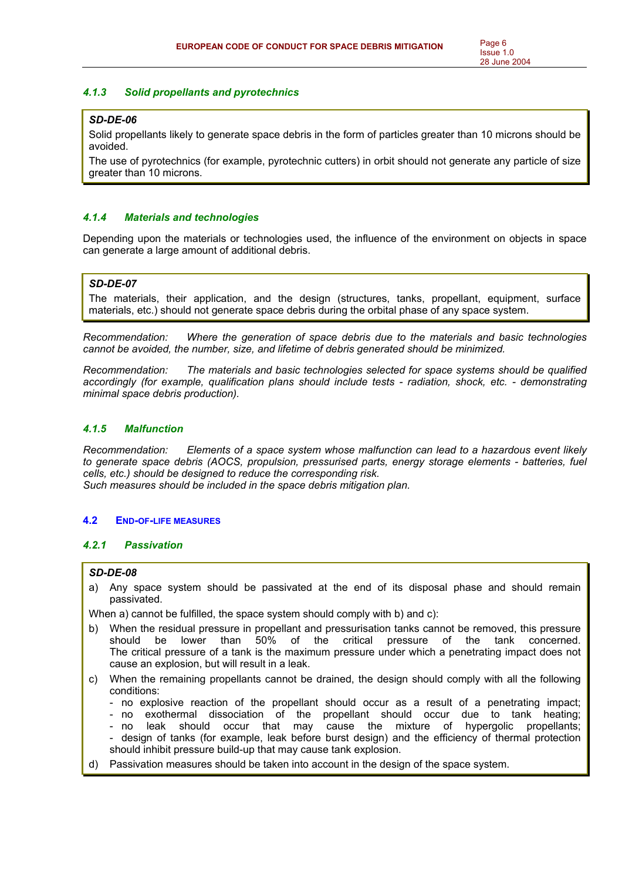## *4.1.3 Solid propellants and pyrotechnics*

## *SD-DE-06*

Solid propellants likely to generate space debris in the form of particles greater than 10 microns should be avoided.

The use of pyrotechnics (for example, pyrotechnic cutters) in orbit should not generate any particle of size greater than 10 microns.

## *4.1.4 Materials and technologies*

Depending upon the materials or technologies used, the influence of the environment on objects in space can generate a large amount of additional debris.

## *SD-DE-07*

The materials, their application, and the design (structures, tanks, propellant, equipment, surface materials, etc.) should not generate space debris during the orbital phase of any space system.

*Recommendation: Where the generation of space debris due to the materials and basic technologies cannot be avoided, the number, size, and lifetime of debris generated should be minimized.* 

*Recommendation: The materials and basic technologies selected for space systems should be qualified accordingly (for example, qualification plans should include tests - radiation, shock, etc. - demonstrating minimal space debris production).* 

## *4.1.5 Malfunction*

*Recommendation: Elements of a space system whose malfunction can lead to a hazardous event likely to generate space debris (AOCS, propulsion, pressurised parts, energy storage elements - batteries, fuel cells, etc.) should be designed to reduce the corresponding risk. Such measures should be included in the space debris mitigation plan.* 

## **4.2 END-OF-LIFE MEASURES**

## *4.2.1 Passivation*

## *SD-DE-08*

a) Any space system should be passivated at the end of its disposal phase and should remain passivated.

When a) cannot be fulfilled, the space system should comply with b) and c):

- b) When the residual pressure in propellant and pressurisation tanks cannot be removed, this pressure should be lower than 50% of the critical pressure of the tank concerned. The critical pressure of a tank is the maximum pressure under which a penetrating impact does not cause an explosion, but will result in a leak.
- c) When the remaining propellants cannot be drained, the design should comply with all the following conditions:
	- no explosive reaction of the propellant should occur as a result of a penetrating impact;
	- no exothermal dissociation of the propellant should occur due to tank heating;
	- no leak should occur that may cause the mixture of hypergolic propellants; - design of tanks (for example, leak before burst design) and the efficiency of thermal protection should inhibit pressure build-up that may cause tank explosion.
- d) Passivation measures should be taken into account in the design of the space system.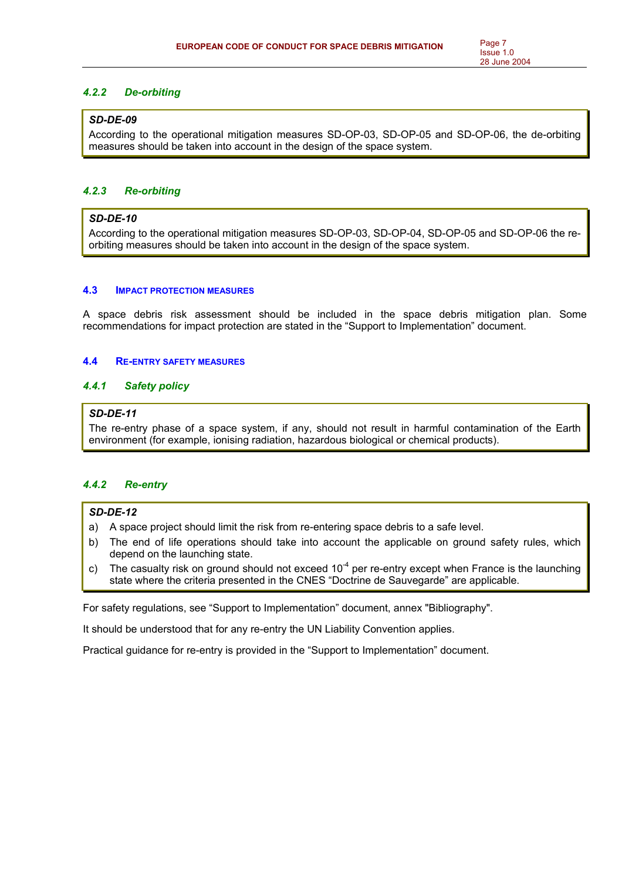## *4.2.2 De-orbiting*

## *SD-DE-09*

According to the operational mitigation measures SD-OP-03, SD-OP-05 and SD-OP-06, the de-orbiting measures should be taken into account in the design of the space system.

## *4.2.3 Re-orbiting*

## *SD-DE-10*

According to the operational mitigation measures SD-OP-03, SD-OP-04, SD-OP-05 and SD-OP-06 the reorbiting measures should be taken into account in the design of the space system.

#### **4.3 IMPACT PROTECTION MEASURES**

A space debris risk assessment should be included in the space debris mitigation plan. Some recommendations for impact protection are stated in the "Support to Implementation" document.

#### **4.4 RE-ENTRY SAFETY MEASURES**

## *4.4.1 Safety policy*

## *SD-DE-11*

The re-entry phase of a space system, if any, should not result in harmful contamination of the Earth environment (for example, ionising radiation, hazardous biological or chemical products).

## *4.4.2 Re-entry*

## *SD-DE-12*

- a) A space project should limit the risk from re-entering space debris to a safe level.
- b) The end of life operations should take into account the applicable on ground safety rules, which depend on the launching state.
- c) The casualty risk on ground should not exceed  $10^{-4}$  per re-entry except when France is the launching state where the criteria presented in the CNES "Doctrine de Sauvegarde" are applicable.

For safety regulations, see "Support to Implementation" document, annex "Bibliography".

It should be understood that for any re-entry the UN Liability Convention applies.

Practical guidance for re-entry is provided in the "Support to Implementation" document.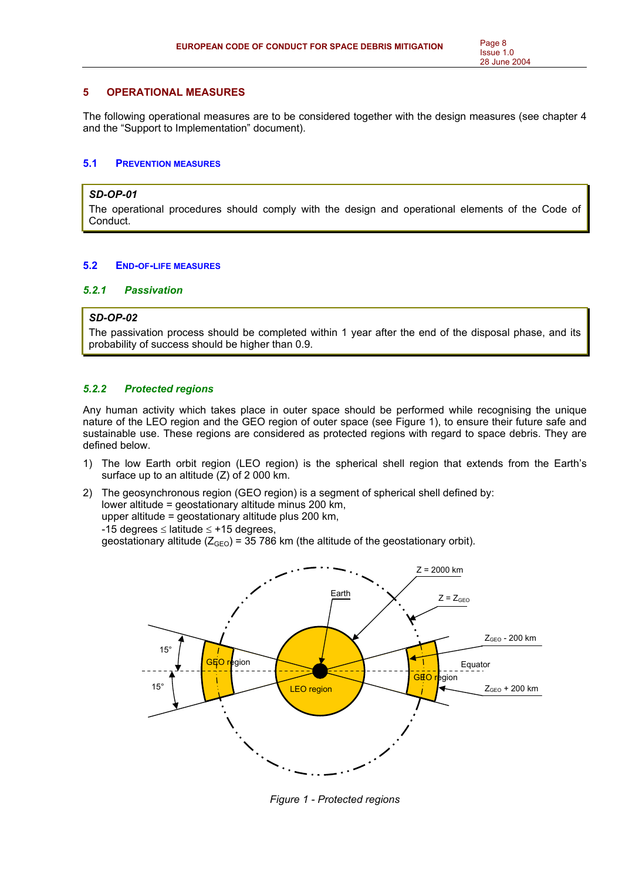## **5 OPERATIONAL MEASURES**

The following operational measures are to be considered together with the design measures (see chapter 4 and the "Support to Implementation" document).

## **5.1 PREVENTION MEASURES**

#### *SD-OP-01*

The operational procedures should comply with the design and operational elements of the Code of Conduct.

## **5.2 END-OF-LIFE MEASURES**

#### *5.2.1 Passivation*

## *SD-OP-02*

The passivation process should be completed within 1 year after the end of the disposal phase, and its probability of success should be higher than 0.9.

## *5.2.2 Protected regions*

Any human activity which takes place in outer space should be performed while recognising the unique nature of the LEO region and the GEO region of outer space (see Figure 1), to ensure their future safe and sustainable use. These regions are considered as protected regions with regard to space debris. They are defined below.

- 1) The low Earth orbit region (LEO region) is the spherical shell region that extends from the Earth's surface up to an altitude (Z) of 2 000 km.
- 2) The geosynchronous region (GEO region) is a segment of spherical shell defined by: lower altitude = geostationary altitude minus 200 km, upper altitude = geostationary altitude plus 200 km, -15 degrees ≤ latitude ≤ +15 degrees, geostationary altitude ( $Z_{\text{GEO}}$ ) = 35 786 km (the altitude of the geostationary orbit).



*Figure 1 - Protected regions*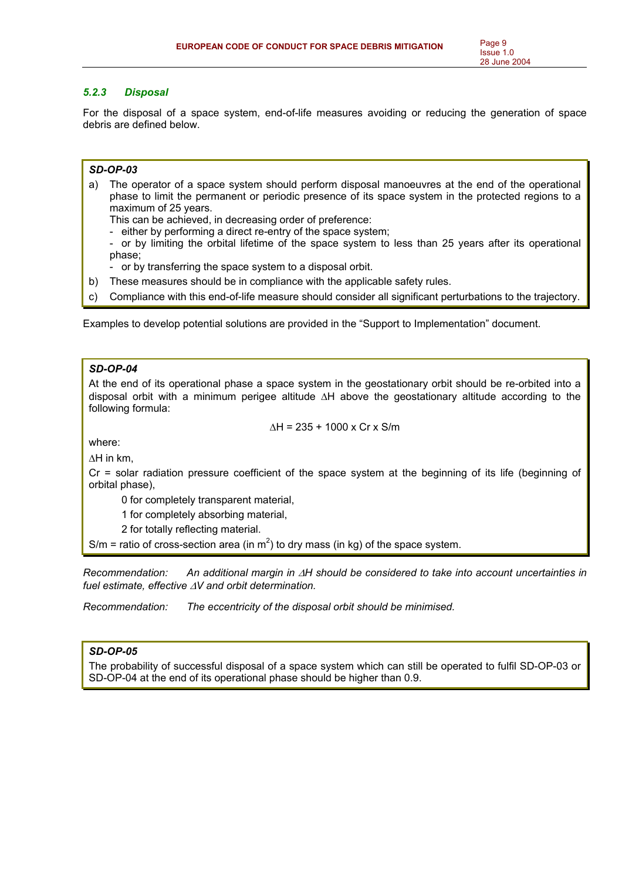## *5.2.3 Disposal*

For the disposal of a space system, end-of-life measures avoiding or reducing the generation of space debris are defined below.

## *SD-OP-03*

- a) The operator of a space system should perform disposal manoeuvres at the end of the operational phase to limit the permanent or periodic presence of its space system in the protected regions to a maximum of 25 years.
	- This can be achieved, in decreasing order of preference:
	- either by performing a direct re-entry of the space system;
	- or by limiting the orbital lifetime of the space system to less than 25 years after its operational phase;
	- or by transferring the space system to a disposal orbit.
- b) These measures should be in compliance with the applicable safety rules.
- c) Compliance with this end-of-life measure should consider all significant perturbations to the trajectory.

Examples to develop potential solutions are provided in the "Support to Implementation" document.

## *SD-OP-04*

At the end of its operational phase a space system in the geostationary orbit should be re-orbited into a disposal orbit with a minimum perigee altitude ∆H above the geostationary altitude according to the following formula:

$$
\Delta H = 235 + 1000 \times Cr \times S/m
$$

where:

∆H in km,

Cr = solar radiation pressure coefficient of the space system at the beginning of its life (beginning of orbital phase),

0 for completely transparent material,

1 for completely absorbing material,

2 for totally reflecting material.

S/m = ratio of cross-section area (in  $m^2$ ) to dry mass (in kg) of the space system.

*Recommendation: An additional margin in* ∆*H should be considered to take into account uncertainties in fuel estimate, effective* ∆*V and orbit determination.* 

*Recommendation: The eccentricity of the disposal orbit should be minimised.* 

## *SD-OP-05*

The probability of successful disposal of a space system which can still be operated to fulfil SD-OP-03 or SD-OP-04 at the end of its operational phase should be higher than 0.9.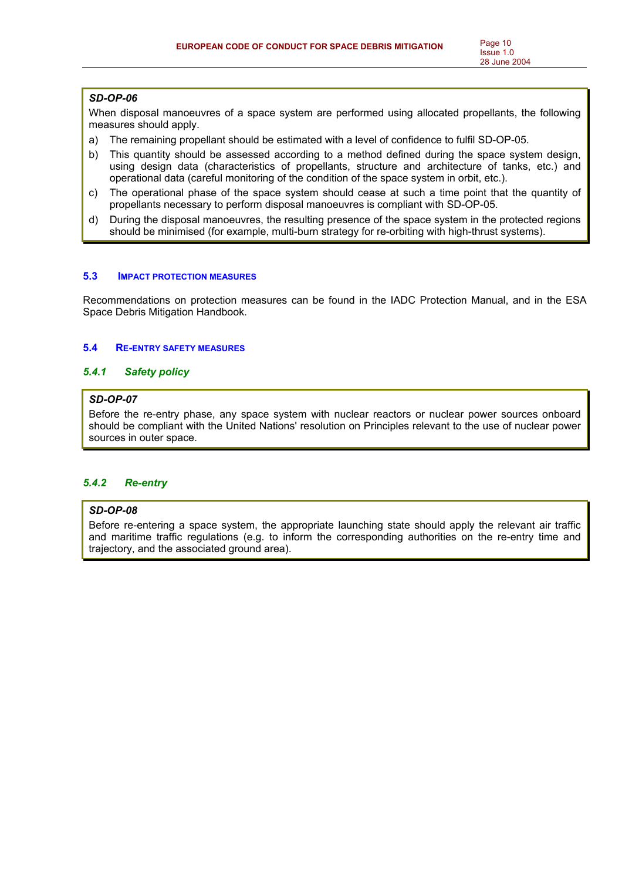## *SD-OP-06*

When disposal manoeuvres of a space system are performed using allocated propellants, the following measures should apply.

- a) The remaining propellant should be estimated with a level of confidence to fulfil SD-OP-05.
- b) This quantity should be assessed according to a method defined during the space system design, using design data (characteristics of propellants, structure and architecture of tanks, etc.) and operational data (careful monitoring of the condition of the space system in orbit, etc.).
- c) The operational phase of the space system should cease at such a time point that the quantity of propellants necessary to perform disposal manoeuvres is compliant with SD-OP-05.
- d) During the disposal manoeuvres, the resulting presence of the space system in the protected regions should be minimised (for example, multi-burn strategy for re-orbiting with high-thrust systems).

#### **5.3 IMPACT PROTECTION MEASURES**

Recommendations on protection measures can be found in the IADC Protection Manual, and in the ESA Space Debris Mitigation Handbook.

## **5.4 RE-ENTRY SAFETY MEASURES**

## *5.4.1 Safety policy*

## *SD-OP-07*

Before the re-entry phase, any space system with nuclear reactors or nuclear power sources onboard should be compliant with the United Nations' resolution on Principles relevant to the use of nuclear power sources in outer space.

## *5.4.2 Re-entry*

## *SD-OP-08*

Before re-entering a space system, the appropriate launching state should apply the relevant air traffic and maritime traffic regulations (e.g. to inform the corresponding authorities on the re-entry time and trajectory, and the associated ground area).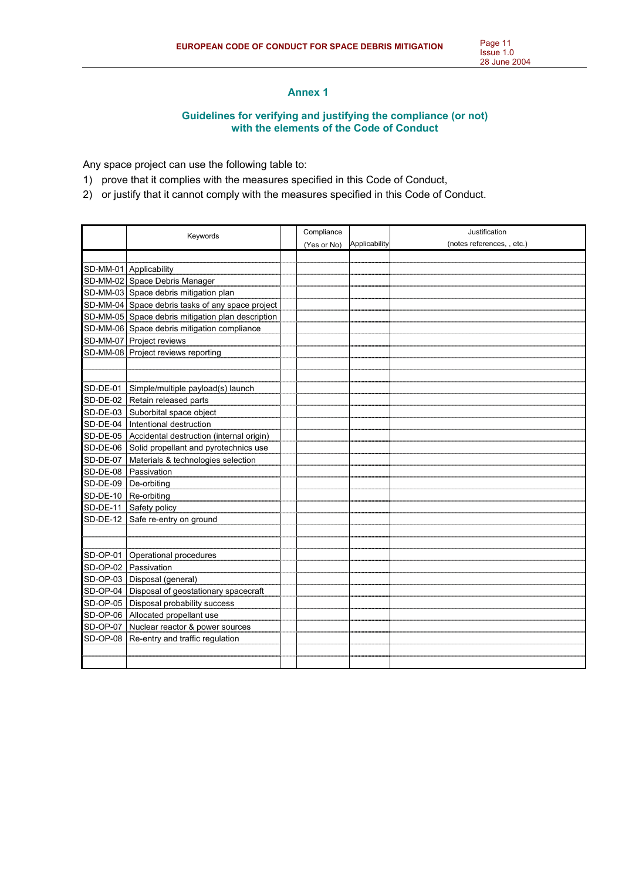# **Annex 1**

## **Guidelines for verifying and justifying the compliance (or not) with the elements of the Code of Conduct**

Any space project can use the following table to:

- 1) prove that it complies with the measures specified in this Code of Conduct,
- 2) or justify that it cannot comply with the measures specified in this Code of Conduct.

|                      | Keywords                                          |  | Compliance  |               | Justification              |  |
|----------------------|---------------------------------------------------|--|-------------|---------------|----------------------------|--|
|                      |                                                   |  | (Yes or No) | Applicability | (notes references, , etc.) |  |
|                      |                                                   |  |             |               |                            |  |
|                      | SD-MM-01 Applicability                            |  |             |               |                            |  |
|                      | SD-MM-02 Space Debris Manager                     |  |             |               |                            |  |
|                      | SD-MM-03 Space debris mitigation plan             |  |             |               |                            |  |
|                      | SD-MM-04 Space debris tasks of any space project  |  |             |               |                            |  |
|                      | SD-MM-05 Space debris mitigation plan description |  |             |               |                            |  |
|                      | SD-MM-06 Space debris mitigation compliance       |  |             |               |                            |  |
|                      | SD-MM-07 Project reviews                          |  |             |               |                            |  |
|                      | SD-MM-08 Project reviews reporting                |  |             |               |                            |  |
|                      |                                                   |  |             |               |                            |  |
|                      |                                                   |  |             |               |                            |  |
|                      | SD-DE-01   Simple/multiple payload(s) launch      |  |             |               |                            |  |
|                      | SD-DE-02 Retain released parts                    |  |             |               |                            |  |
| $SD-DE-03$           | Suborbital space object                           |  |             |               |                            |  |
| $SD-DE-04$           | Intentional destruction                           |  |             |               |                            |  |
| $SD-DE-05$           | Accidental destruction (internal origin)          |  |             |               |                            |  |
| SD-DE-06             | Solid propellant and pyrotechnics use             |  |             |               |                            |  |
| SD-DE-07             | Materials & technologies selection                |  |             |               |                            |  |
| SD-DE-08             | Passivation                                       |  |             |               |                            |  |
| SD-DE-09             | De-orbiting                                       |  |             |               |                            |  |
| SD-DE-10 Re-orbiting |                                                   |  |             |               |                            |  |
| $SD-DE-11$           | Safety policy                                     |  |             |               |                            |  |
| $SD-DE-12$           | Safe re-entry on ground                           |  |             |               |                            |  |
|                      |                                                   |  |             |               |                            |  |
|                      |                                                   |  |             |               |                            |  |
| SD-OP-01             | Operational procedures                            |  |             |               |                            |  |
|                      | SD-OP-02 Passivation                              |  |             |               |                            |  |
|                      | SD-OP-03   Disposal (general)                     |  |             |               |                            |  |
| $SD-OP-04$           | Disposal of geostationary spacecraft              |  |             |               |                            |  |
|                      | SD-OP-05   Disposal probability success           |  |             |               |                            |  |
|                      | SD-OP-06 Allocated propellant use                 |  |             |               |                            |  |
| <b>SD-OP-07</b>      | Nuclear reactor & power sources                   |  |             |               |                            |  |
| SD-OP-08             | Re-entry and traffic regulation                   |  |             |               |                            |  |
|                      |                                                   |  |             |               |                            |  |
|                      |                                                   |  |             |               |                            |  |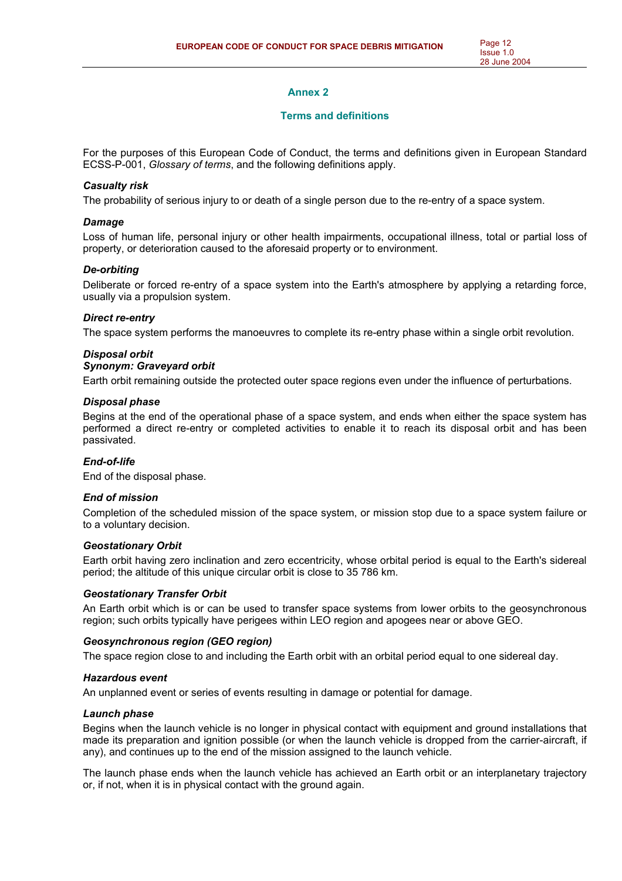## **Annex 2**

#### **Terms and definitions**

For the purposes of this European Code of Conduct, the terms and definitions given in European Standard ECSS-P-001, *Glossary of terms*, and the following definitions apply.

#### *Casualty risk*

The probability of serious injury to or death of a single person due to the re-entry of a space system.

#### *Damage*

Loss of human life, personal injury or other health impairments, occupational illness, total or partial loss of property, or deterioration caused to the aforesaid property or to environment.

## *De-orbiting*

Deliberate or forced re-entry of a space system into the Earth's atmosphere by applying a retarding force, usually via a propulsion system.

#### *Direct re-entry*

The space system performs the manoeuvres to complete its re-entry phase within a single orbit revolution.

## *Disposal orbit*

# *Synonym: Graveyard orbit*

Earth orbit remaining outside the protected outer space regions even under the influence of perturbations.

#### *Disposal phase*

Begins at the end of the operational phase of a space system, and ends when either the space system has performed a direct re-entry or completed activities to enable it to reach its disposal orbit and has been passivated.

## *End-of-life*

End of the disposal phase.

## *End of mission*

Completion of the scheduled mission of the space system, or mission stop due to a space system failure or to a voluntary decision.

#### *Geostationary Orbit*

Earth orbit having zero inclination and zero eccentricity, whose orbital period is equal to the Earth's sidereal period; the altitude of this unique circular orbit is close to 35 786 km.

## *Geostationary Transfer Orbit*

An Earth orbit which is or can be used to transfer space systems from lower orbits to the geosynchronous region; such orbits typically have perigees within LEO region and apogees near or above GEO.

## *Geosynchronous region (GEO region)*

The space region close to and including the Earth orbit with an orbital period equal to one sidereal day.

#### *Hazardous event*

An unplanned event or series of events resulting in damage or potential for damage.

## *Launch phase*

Begins when the launch vehicle is no longer in physical contact with equipment and ground installations that made its preparation and ignition possible (or when the launch vehicle is dropped from the carrier-aircraft, if any), and continues up to the end of the mission assigned to the launch vehicle.

The launch phase ends when the launch vehicle has achieved an Earth orbit or an interplanetary trajectory or, if not, when it is in physical contact with the ground again.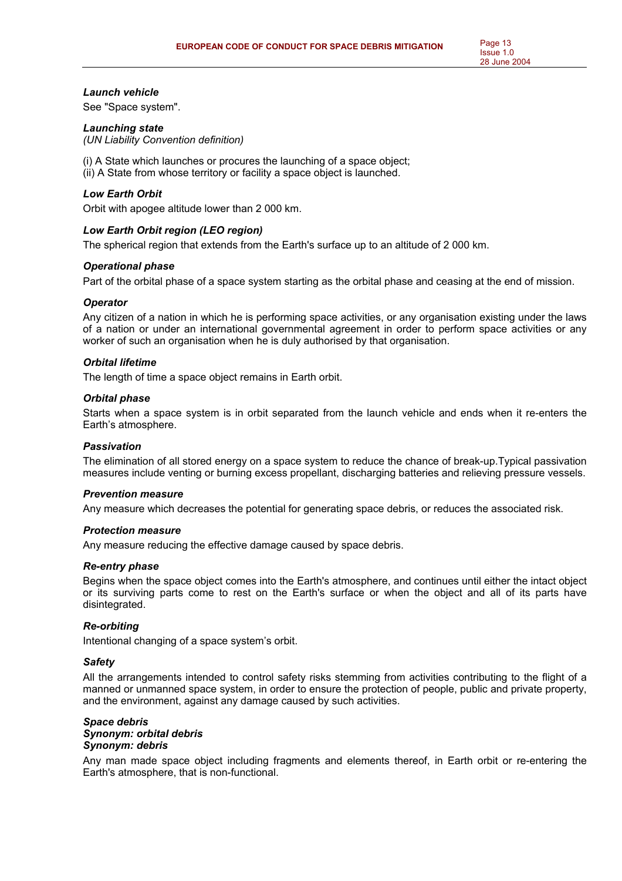#### *Launch vehicle*

See "Space system".

#### *Launching state*

*(UN Liability Convention definition)* 

(i) A State which launches or procures the launching of a space object;

(ii) A State from whose territory or facility a space object is launched.

#### *Low Earth Orbit*

Orbit with apogee altitude lower than 2 000 km.

## *Low Earth Orbit region (LEO region)*

The spherical region that extends from the Earth's surface up to an altitude of 2 000 km.

#### *Operational phase*

Part of the orbital phase of a space system starting as the orbital phase and ceasing at the end of mission.

#### *Operator*

Any citizen of a nation in which he is performing space activities, or any organisation existing under the laws of a nation or under an international governmental agreement in order to perform space activities or any worker of such an organisation when he is duly authorised by that organisation.

#### *Orbital lifetime*

The length of time a space object remains in Earth orbit.

#### *Orbital phase*

Starts when a space system is in orbit separated from the launch vehicle and ends when it re-enters the Earth's atmosphere.

## *Passivation*

The elimination of all stored energy on a space system to reduce the chance of break-up.Typical passivation measures include venting or burning excess propellant, discharging batteries and relieving pressure vessels.

#### *Prevention measure*

Any measure which decreases the potential for generating space debris, or reduces the associated risk.

#### *Protection measure*

Any measure reducing the effective damage caused by space debris.

## *Re-entry phase*

Begins when the space object comes into the Earth's atmosphere, and continues until either the intact object or its surviving parts come to rest on the Earth's surface or when the object and all of its parts have disintegrated.

#### *Re-orbiting*

Intentional changing of a space system's orbit.

#### *Safety*

All the arrangements intended to control safety risks stemming from activities contributing to the flight of a manned or unmanned space system, in order to ensure the protection of people, public and private property, and the environment, against any damage caused by such activities.

#### *Space debris Synonym: orbital debris Synonym: debris*

Any man made space object including fragments and elements thereof, in Earth orbit or re-entering the Earth's atmosphere, that is non-functional.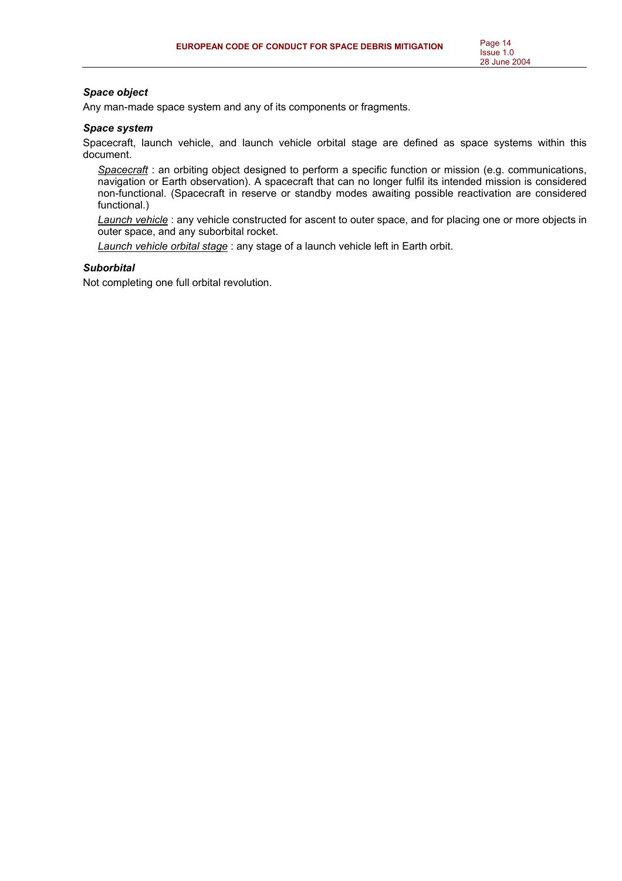## *Space object*

Any man-made space system and any of its components or fragments.

#### *Space system*

Spacecraft, launch vehicle, and launch vehicle orbital stage are defined as space systems within this document.

*Spacecraft* : an orbiting object designed to perform a specific function or mission (e.g. communications, navigation or Earth observation). A spacecraft that can no longer fulfil its intended mission is considered non-functional. (Spacecraft in reserve or standby modes awaiting possible reactivation are considered functional.)

*Launch vehicle* : any vehicle constructed for ascent to outer space, and for placing one or more objects in outer space, and any suborbital rocket.

*Launch vehicle orbital stage* : any stage of a launch vehicle left in Earth orbit.

## *Suborbital*

Not completing one full orbital revolution.